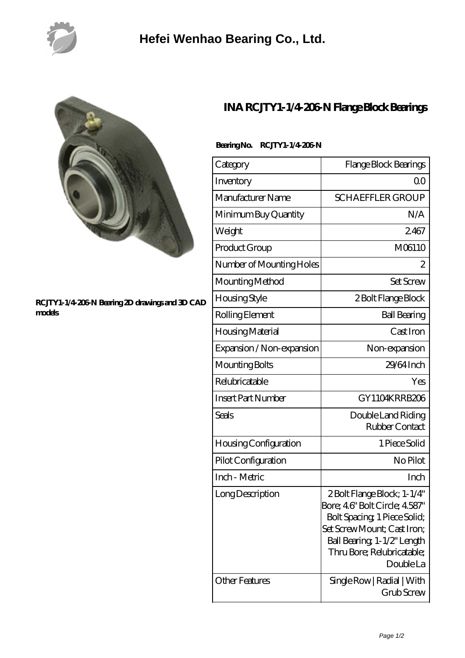

## **[Hefei Wenhao Bearing Co., Ltd.](https://m.ysary.com)**



## **[RCJTY1-1/4-206-N Bearing 2D drawings and 3D CAD](https://m.ysary.com/pic-377955.html) [models](https://m.ysary.com/pic-377955.html)**

## **[INA RCJTY1-1/4-206-N Flange Block Bearings](https://m.ysary.com/ina-rcjty1-1-4-206-n-bearing/)**

| Category                  | Flange Block Bearings                                                                                                                                                                                      |
|---------------------------|------------------------------------------------------------------------------------------------------------------------------------------------------------------------------------------------------------|
| Inventory                 | 0 <sup>0</sup>                                                                                                                                                                                             |
| Manufacturer Name         | <b>SCHAEFFLER GROUP</b>                                                                                                                                                                                    |
| Minimum Buy Quantity      | N/A                                                                                                                                                                                                        |
| Weight                    | 2467                                                                                                                                                                                                       |
| Product Group             | M06110                                                                                                                                                                                                     |
| Number of Mounting Holes  | 2                                                                                                                                                                                                          |
| Mounting Method           | <b>Set Screw</b>                                                                                                                                                                                           |
| Housing Style             | 2 Bolt Flange Block                                                                                                                                                                                        |
| Rolling Element           | <b>Ball Bearing</b>                                                                                                                                                                                        |
| Housing Material          | Cast Iron                                                                                                                                                                                                  |
| Expansion / Non-expansion | Non-expansion                                                                                                                                                                                              |
| Mounting Bolts            | 29/64 Inch                                                                                                                                                                                                 |
| Relubricatable            | Yes                                                                                                                                                                                                        |
| <b>Insert Part Number</b> | GY1104KRRB206                                                                                                                                                                                              |
| Seals                     | Double Land Riding<br>Rubber Contact                                                                                                                                                                       |
| Housing Configuration     | 1 Piece Solid                                                                                                                                                                                              |
| Pilot Configuration       | No Pilot                                                                                                                                                                                                   |
| Inch - Metric             | Inch                                                                                                                                                                                                       |
| Long Description          | 2Bolt Flange Block; 1-1/4"<br>Bore; 46" Bolt Circle; 4587"<br>Bolt Spacing, 1 Piece Solid;<br>Set Screw Mount; Cast Iron;<br>Ball Bearing, 1-1/2" Length<br>Thru Bore; Relubricatable;<br><b>Double La</b> |
| <b>Other Features</b>     | Single Row   Radial   With<br>Grub Screw                                                                                                                                                                   |